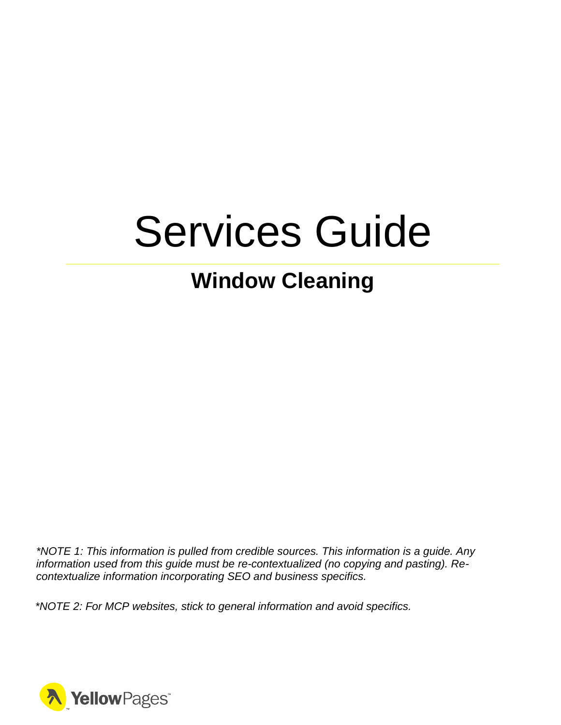# Services Guide

# **Window Cleaning**

*\*NOTE 1: This information is pulled from credible sources. This information is a guide. Any information used from this guide must be re-contextualized (no copying and pasting). Recontextualize information incorporating SEO and business specifics.*

*\*NOTE 2: For MCP websites, stick to general information and avoid specifics.*

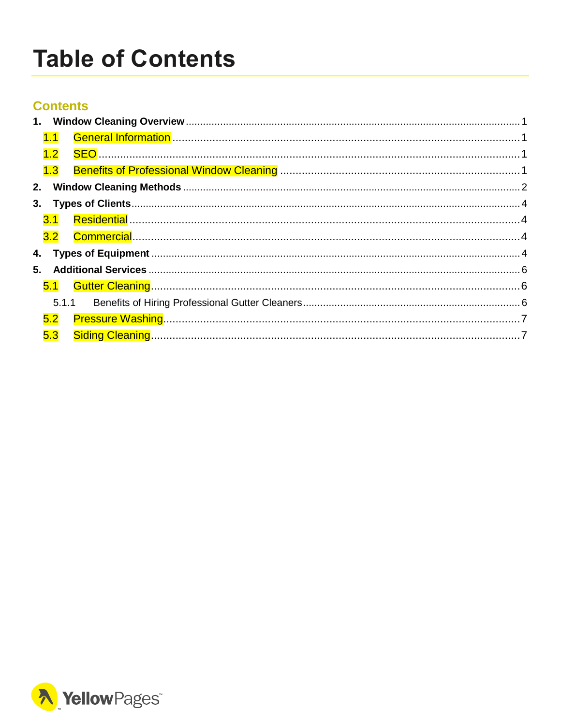# <span id="page-1-0"></span>**Table of Contents**

### **Contents**

|    | 1.1     |  |
|----|---------|--|
|    |         |  |
|    |         |  |
|    |         |  |
|    |         |  |
|    |         |  |
|    |         |  |
|    |         |  |
| 5. |         |  |
|    |         |  |
|    | 5.1.1   |  |
|    | $5.2\,$ |  |
|    | 5.3     |  |

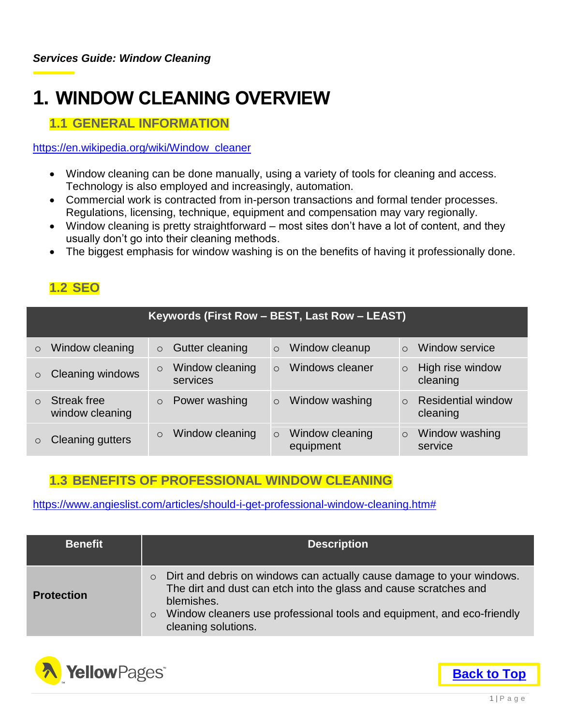# <span id="page-2-0"></span>**1. WINDOW CLEANING OVERVIEW**

### <span id="page-2-1"></span>**1.1 GENERAL INFORMATION**

#### [https://en.wikipedia.org/wiki/Window\\_cleaner](https://en.wikipedia.org/wiki/Window_cleaner)

- Window cleaning can be done manually, using a variety of tools for cleaning and access. Technology is also employed and increasingly, automation.
- Commercial work is contracted from in-person transactions and formal tender processes. Regulations, licensing, technique, equipment and compensation may vary regionally.
- Window cleaning is pretty straightforward most sites don't have a lot of content, and they usually don't go into their cleaning methods.
- The biggest emphasis for window washing is on the benefits of having it professionally done.

# <span id="page-2-2"></span>**1.2 SEO**

|         |                                       |                                        | Keywords (First Row - BEST, Last Row - LEAST) |                                         |
|---------|---------------------------------------|----------------------------------------|-----------------------------------------------|-----------------------------------------|
| $\circ$ | Window cleaning                       | Gutter cleaning<br>$\circ$             | Window cleanup<br>$\circ$                     | Window service                          |
| $\circ$ | <b>Cleaning windows</b>               | Window cleaning<br>$\circ$<br>services | Windows cleaner<br>$\Omega$                   | High rise window<br>$\circ$<br>cleaning |
| $\circ$ | <b>Streak free</b><br>window cleaning | Power washing<br>$\circ$               | Window washing<br>$\circ$                     | <b>Residential window</b><br>cleaning   |
| $\circ$ | <b>Cleaning gutters</b>               | Window cleaning<br>$\circ$             | Window cleaning<br>$\circ$<br>equipment       | Window washing<br>$\circ$<br>service    |

### <span id="page-2-3"></span>**1.3 BENEFITS OF PROFESSIONAL WINDOW CLEANING**

[https://www.angieslist.com/articles/should-i-get-professional-window-cleaning.htm#](https://www.angieslist.com/articles/should-i-get-professional-window-cleaning.htm)

| <b>Benefit</b>    | <b>Description</b>                                                                                                                                                                                                                                                              |
|-------------------|---------------------------------------------------------------------------------------------------------------------------------------------------------------------------------------------------------------------------------------------------------------------------------|
| <b>Protection</b> | Dirt and debris on windows can actually cause damage to your windows.<br>$\circ$<br>The dirt and dust can etch into the glass and cause scratches and<br>blemishes.<br>Window cleaners use professional tools and equipment, and eco-friendly<br>$\circ$<br>cleaning solutions. |

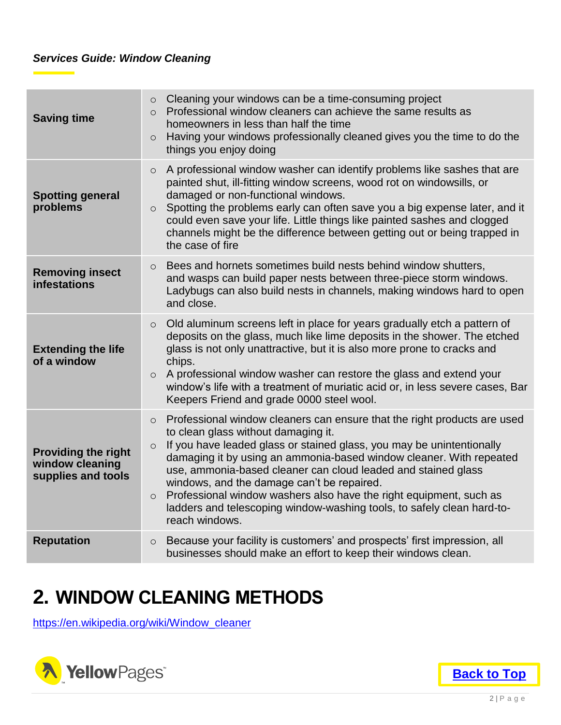| <b>Saving time</b>                                                  | Cleaning your windows can be a time-consuming project<br>$\circ$<br>Professional window cleaners can achieve the same results as<br>$\circ$<br>homeowners in less than half the time<br>Having your windows professionally cleaned gives you the time to do the<br>$\circ$<br>things you enjoy doing                                                                                                                                                                                                                                                                              |
|---------------------------------------------------------------------|-----------------------------------------------------------------------------------------------------------------------------------------------------------------------------------------------------------------------------------------------------------------------------------------------------------------------------------------------------------------------------------------------------------------------------------------------------------------------------------------------------------------------------------------------------------------------------------|
| <b>Spotting general</b><br>problems                                 | A professional window washer can identify problems like sashes that are<br>$\circ$<br>painted shut, ill-fitting window screens, wood rot on windowsills, or<br>damaged or non-functional windows.<br>Spotting the problems early can often save you a big expense later, and it<br>$\circ$<br>could even save your life. Little things like painted sashes and clogged<br>channels might be the difference between getting out or being trapped in<br>the case of fire                                                                                                            |
| <b>Removing insect</b><br>infestations                              | Bees and hornets sometimes build nests behind window shutters,<br>$\circ$<br>and wasps can build paper nests between three-piece storm windows.<br>Ladybugs can also build nests in channels, making windows hard to open<br>and close.                                                                                                                                                                                                                                                                                                                                           |
| <b>Extending the life</b><br>of a window                            | Old aluminum screens left in place for years gradually etch a pattern of<br>$\circ$<br>deposits on the glass, much like lime deposits in the shower. The etched<br>glass is not only unattractive, but it is also more prone to cracks and<br>chips.<br>A professional window washer can restore the glass and extend your<br>$\circ$<br>window's life with a treatment of muriatic acid or, in less severe cases, Bar<br>Keepers Friend and grade 0000 steel wool.                                                                                                               |
| <b>Providing the right</b><br>window cleaning<br>supplies and tools | Professional window cleaners can ensure that the right products are used<br>$\circ$<br>to clean glass without damaging it.<br>If you have leaded glass or stained glass, you may be unintentionally<br>$\circ$<br>damaging it by using an ammonia-based window cleaner. With repeated<br>use, ammonia-based cleaner can cloud leaded and stained glass<br>windows, and the damage can't be repaired.<br>Professional window washers also have the right equipment, such as<br>$\circ$<br>ladders and telescoping window-washing tools, to safely clean hard-to-<br>reach windows. |
| <b>Reputation</b>                                                   | Because your facility is customers' and prospects' first impression, all<br>$\circ$<br>businesses should make an effort to keep their windows clean.                                                                                                                                                                                                                                                                                                                                                                                                                              |

# <span id="page-3-0"></span>**2. WINDOW CLEANING METHODS**

[https://en.wikipedia.org/wiki/Window\\_cleaner](https://en.wikipedia.org/wiki/Window_cleaner)



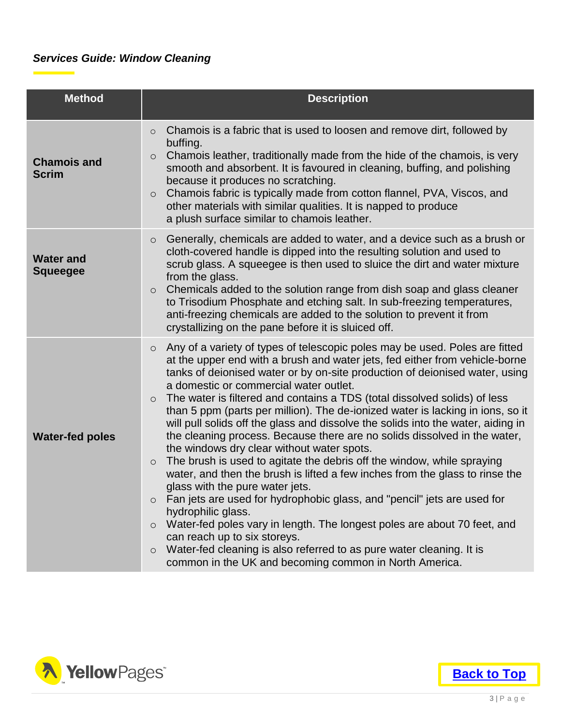### *Services Guide: Window Cleaning*

| <b>Method</b>                       | <b>Description</b>                                                                                                                                                                                                                                                                                                                                                                                                                                                                                                                                                                                                                                                                                                                                                                                                                                                                                                                                                                                                                                                                                                                                                                                                                                                   |
|-------------------------------------|----------------------------------------------------------------------------------------------------------------------------------------------------------------------------------------------------------------------------------------------------------------------------------------------------------------------------------------------------------------------------------------------------------------------------------------------------------------------------------------------------------------------------------------------------------------------------------------------------------------------------------------------------------------------------------------------------------------------------------------------------------------------------------------------------------------------------------------------------------------------------------------------------------------------------------------------------------------------------------------------------------------------------------------------------------------------------------------------------------------------------------------------------------------------------------------------------------------------------------------------------------------------|
| <b>Chamois and</b><br><b>Scrim</b>  | Chamois is a fabric that is used to loosen and remove dirt, followed by<br>$\circ$<br>buffing.<br>Chamois leather, traditionally made from the hide of the chamois, is very<br>$\circ$<br>smooth and absorbent. It is favoured in cleaning, buffing, and polishing<br>because it produces no scratching.<br>Chamois fabric is typically made from cotton flannel, PVA, Viscos, and<br>$\circ$<br>other materials with similar qualities. It is napped to produce<br>a plush surface similar to chamois leather.                                                                                                                                                                                                                                                                                                                                                                                                                                                                                                                                                                                                                                                                                                                                                      |
| <b>Water and</b><br><b>Squeegee</b> | Generally, chemicals are added to water, and a device such as a brush or<br>$\circ$<br>cloth-covered handle is dipped into the resulting solution and used to<br>scrub glass. A squeegee is then used to sluice the dirt and water mixture<br>from the glass.<br>Chemicals added to the solution range from dish soap and glass cleaner<br>$\circ$<br>to Trisodium Phosphate and etching salt. In sub-freezing temperatures,<br>anti-freezing chemicals are added to the solution to prevent it from<br>crystallizing on the pane before it is sluiced off.                                                                                                                                                                                                                                                                                                                                                                                                                                                                                                                                                                                                                                                                                                          |
| <b>Water-fed poles</b>              | Any of a variety of types of telescopic poles may be used. Poles are fitted<br>$\circ$<br>at the upper end with a brush and water jets, fed either from vehicle-borne<br>tanks of deionised water or by on-site production of deionised water, using<br>a domestic or commercial water outlet.<br>The water is filtered and contains a TDS (total dissolved solids) of less<br>$\circ$<br>than 5 ppm (parts per million). The de-ionized water is lacking in ions, so it<br>will pull solids off the glass and dissolve the solids into the water, aiding in<br>the cleaning process. Because there are no solids dissolved in the water,<br>the windows dry clear without water spots.<br>The brush is used to agitate the debris off the window, while spraying<br>$\circ$<br>water, and then the brush is lifted a few inches from the glass to rinse the<br>glass with the pure water jets.<br>Fan jets are used for hydrophobic glass, and "pencil" jets are used for<br>hydrophilic glass.<br>Water-fed poles vary in length. The longest poles are about 70 feet, and<br>$\circ$<br>can reach up to six storeys.<br>Water-fed cleaning is also referred to as pure water cleaning. It is<br>$\circ$<br>common in the UK and becoming common in North America. |

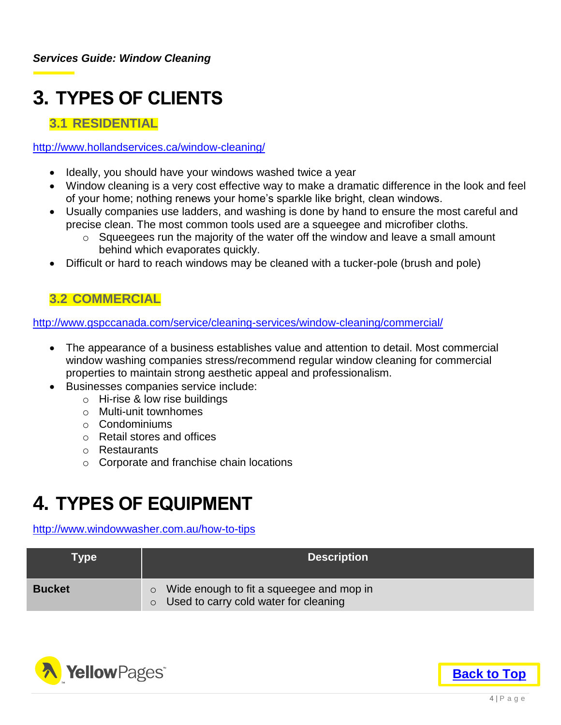# <span id="page-5-0"></span>**3. TYPES OF CLIENTS**

# <span id="page-5-1"></span>**3.1 RESIDENTIAL**

#### <http://www.hollandservices.ca/window-cleaning/>

- Ideally, you should have your windows washed twice a year
- Window cleaning is a very cost effective way to make a dramatic difference in the look and feel of your home; nothing renews your home's sparkle like bright, clean windows.
- Usually companies use ladders, and washing is done by hand to ensure the most careful and precise clean. The most common tools used are a squeegee and microfiber cloths.
	- $\circ$  Squeegees run the majority of the water off the window and leave a small amount behind which evaporates quickly.
- Difficult or hard to reach windows may be cleaned with a tucker-pole (brush and pole)

### <span id="page-5-2"></span>**3.2 COMMERCIAL**

<http://www.gspccanada.com/service/cleaning-services/window-cleaning/commercial/>

- The appearance of a business establishes value and attention to detail. Most commercial window washing companies stress/recommend regular window cleaning for commercial properties to maintain strong aesthetic appeal and professionalism.
- Businesses companies service include:
	- o Hi-rise & low rise buildings
	- o Multi-unit townhomes
	- o Condominiums
	- o Retail stores and offices
	- o Restaurants
	- o Corporate and franchise chain locations

# <span id="page-5-3"></span>**4. TYPES OF EQUIPMENT**

#### <http://www.windowwasher.com.au/how-to-tips>

| Type          | <b>Description</b>                                                                                |
|---------------|---------------------------------------------------------------------------------------------------|
| <b>Bucket</b> | Wide enough to fit a squeegee and mop in<br>O<br>Used to carry cold water for cleaning<br>$\circ$ |



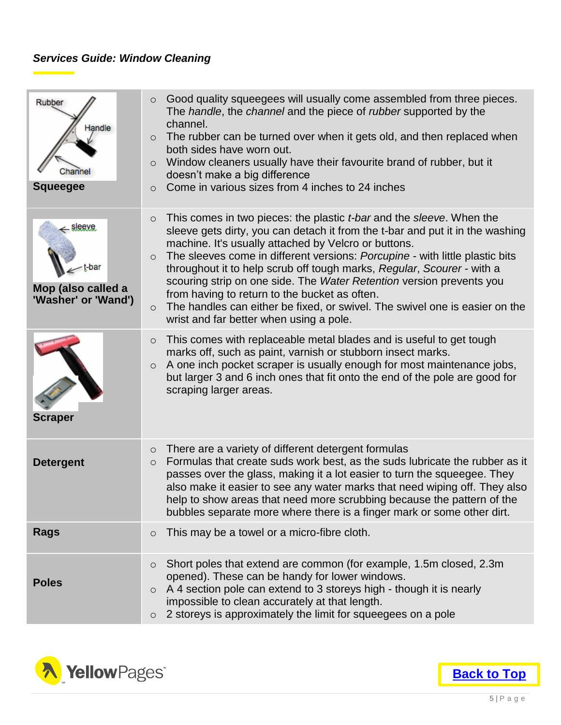### *Services Guide: Window Cleaning*

| Rubber<br>Handle<br>;hannel<br><b>Squeegee</b>               | Good quality squeegees will usually come assembled from three pieces.<br>$\circ$<br>The handle, the channel and the piece of rubber supported by the<br>channel.<br>The rubber can be turned over when it gets old, and then replaced when<br>$\circ$<br>both sides have worn out.<br>Window cleaners usually have their favourite brand of rubber, but it<br>$\circ$<br>doesn't make a big difference<br>Come in various sizes from 4 inches to 24 inches<br>$\circ$                                                                                                                                                                                                      |
|--------------------------------------------------------------|----------------------------------------------------------------------------------------------------------------------------------------------------------------------------------------------------------------------------------------------------------------------------------------------------------------------------------------------------------------------------------------------------------------------------------------------------------------------------------------------------------------------------------------------------------------------------------------------------------------------------------------------------------------------------|
| sleeve<br>t-bar<br>Mop (also called a<br>'Washer' or 'Wand') | This comes in two pieces: the plastic <i>t-bar</i> and the <i>sleeve</i> . When the<br>$\circ$<br>sleeve gets dirty, you can detach it from the t-bar and put it in the washing<br>machine. It's usually attached by Velcro or buttons.<br>The sleeves come in different versions: Porcupine - with little plastic bits<br>$\circ$<br>throughout it to help scrub off tough marks, Regular, Scourer - with a<br>scouring strip on one side. The Water Retention version prevents you<br>from having to return to the bucket as often.<br>The handles can either be fixed, or swivel. The swivel one is easier on the<br>$\circ$<br>wrist and far better when using a pole. |
| <b>Scraper</b>                                               | This comes with replaceable metal blades and is useful to get tough<br>$\circ$<br>marks off, such as paint, varnish or stubborn insect marks.<br>A one inch pocket scraper is usually enough for most maintenance jobs,<br>$\circ$<br>but larger 3 and 6 inch ones that fit onto the end of the pole are good for<br>scraping larger areas.                                                                                                                                                                                                                                                                                                                                |
| <b>Detergent</b>                                             | There are a variety of different detergent formulas<br>$\circ$<br>Formulas that create suds work best, as the suds lubricate the rubber as it<br>$\circ$<br>passes over the glass, making it a lot easier to turn the squeegee. They<br>also make it easier to see any water marks that need wiping off. They also<br>help to show areas that need more scrubbing because the pattern of the<br>bubbles separate more where there is a finger mark or some other dirt.                                                                                                                                                                                                     |
| <b>Rags</b>                                                  | This may be a towel or a micro-fibre cloth.<br>$\circ$                                                                                                                                                                                                                                                                                                                                                                                                                                                                                                                                                                                                                     |
| <b>Poles</b>                                                 | Short poles that extend are common (for example, 1.5m closed, 2.3m)<br>$\circ$<br>opened). These can be handy for lower windows.<br>A 4 section pole can extend to 3 storeys high - though it is nearly<br>$\circ$<br>impossible to clean accurately at that length.<br>2 storeys is approximately the limit for squeegees on a pole<br>$\circ$                                                                                                                                                                                                                                                                                                                            |



**[Back to Top](#page-1-0)**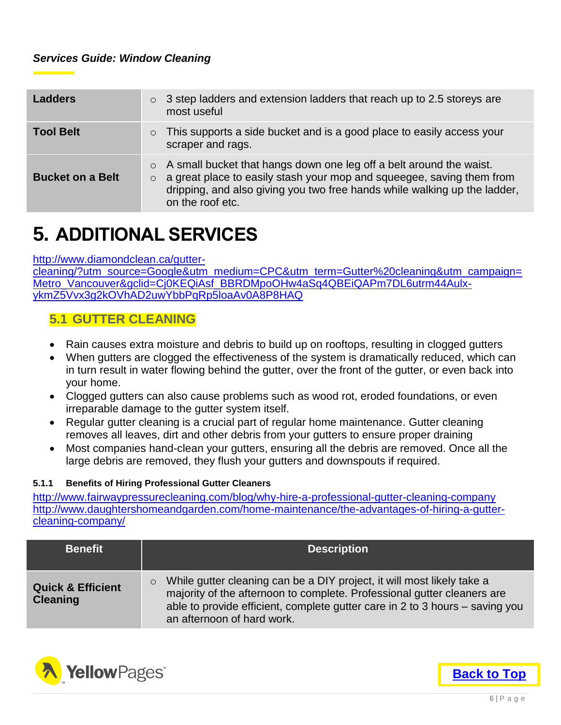| Ladders                 | $\circ$ 3 step ladders and extension ladders that reach up to 2.5 storeys are<br>most useful                                                                                                                                                                  |
|-------------------------|---------------------------------------------------------------------------------------------------------------------------------------------------------------------------------------------------------------------------------------------------------------|
| <b>Tool Belt</b>        | This supports a side bucket and is a good place to easily access your<br>$\circ$<br>scraper and rags.                                                                                                                                                         |
| <b>Bucket on a Belt</b> | $\circ$ A small bucket that hangs down one leg off a belt around the waist.<br>$\circ$ a great place to easily stash your mop and squeegee, saving them from<br>dripping, and also giving you two free hands while walking up the ladder,<br>on the roof etc. |

# <span id="page-7-0"></span>**5. ADDITIONAL SERVICES**

#### [http://www.diamondclean.ca/gutter-](http://www.diamondclean.ca/gutter-cleaning/?utm_source=Google&utm_medium=CPC&utm_term=Gutter%20cleaning&utm_campaign=Metro_Vancouver&gclid=Cj0KEQiAsf_BBRDMpoOHw4aSq4QBEiQAPm7DL6utrm44Aulx-ykmZ5Vvx3g2kOVhAD2uwYbbPqRp5loaAv0A8P8HAQ)

[cleaning/?utm\\_source=Google&utm\\_medium=CPC&utm\\_term=Gutter%20cleaning&utm\\_campaign=](http://www.diamondclean.ca/gutter-cleaning/?utm_source=Google&utm_medium=CPC&utm_term=Gutter%20cleaning&utm_campaign=Metro_Vancouver&gclid=Cj0KEQiAsf_BBRDMpoOHw4aSq4QBEiQAPm7DL6utrm44Aulx-ykmZ5Vvx3g2kOVhAD2uwYbbPqRp5loaAv0A8P8HAQ) [Metro\\_Vancouver&gclid=Cj0KEQiAsf\\_BBRDMpoOHw4aSq4QBEiQAPm7DL6utrm44Aulx](http://www.diamondclean.ca/gutter-cleaning/?utm_source=Google&utm_medium=CPC&utm_term=Gutter%20cleaning&utm_campaign=Metro_Vancouver&gclid=Cj0KEQiAsf_BBRDMpoOHw4aSq4QBEiQAPm7DL6utrm44Aulx-ykmZ5Vvx3g2kOVhAD2uwYbbPqRp5loaAv0A8P8HAQ)[ykmZ5Vvx3g2kOVhAD2uwYbbPqRp5loaAv0A8P8HAQ](http://www.diamondclean.ca/gutter-cleaning/?utm_source=Google&utm_medium=CPC&utm_term=Gutter%20cleaning&utm_campaign=Metro_Vancouver&gclid=Cj0KEQiAsf_BBRDMpoOHw4aSq4QBEiQAPm7DL6utrm44Aulx-ykmZ5Vvx3g2kOVhAD2uwYbbPqRp5loaAv0A8P8HAQ)

### <span id="page-7-1"></span>**5.1 GUTTER CLEANING**

- Rain causes extra moisture and debris to build up on rooftops, resulting in clogged gutters
- When gutters are clogged the effectiveness of the system is dramatically reduced, which can in turn result in water flowing behind the gutter, over the front of the gutter, or even back into your home.
- Clogged gutters can also cause problems such as wood rot, eroded foundations, or even irreparable damage to the gutter system itself.
- Regular gutter cleaning is a crucial part of regular home maintenance. Gutter cleaning removes all leaves, dirt and other debris from your gutters to ensure proper draining
- Most companies hand-clean your gutters, ensuring all the debris are removed. Once all the large debris are removed, they flush your gutters and downspouts if required.

#### <span id="page-7-2"></span>**5.1.1 Benefits of Hiring Professional Gutter Cleaners**

<http://www.fairwaypressurecleaning.com/blog/why-hire-a-professional-gutter-cleaning-company> [http://www.daughtershomeandgarden.com/home-maintenance/the-advantages-of-hiring-a-gutter](http://www.daughtershomeandgarden.com/home-maintenance/the-advantages-of-hiring-a-gutter-cleaning-company/)[cleaning-company/](http://www.daughtershomeandgarden.com/home-maintenance/the-advantages-of-hiring-a-gutter-cleaning-company/)

| <b>Benefit</b>                                  | <b>Description</b>                                                                                                                                                                                                                                                         |
|-------------------------------------------------|----------------------------------------------------------------------------------------------------------------------------------------------------------------------------------------------------------------------------------------------------------------------------|
| <b>Quick &amp; Efficient</b><br><b>Cleaning</b> | While gutter cleaning can be a DIY project, it will most likely take a<br>$\circ$<br>majority of the afternoon to complete. Professional gutter cleaners are<br>able to provide efficient, complete gutter care in 2 to 3 hours – saving you<br>an afternoon of hard work. |